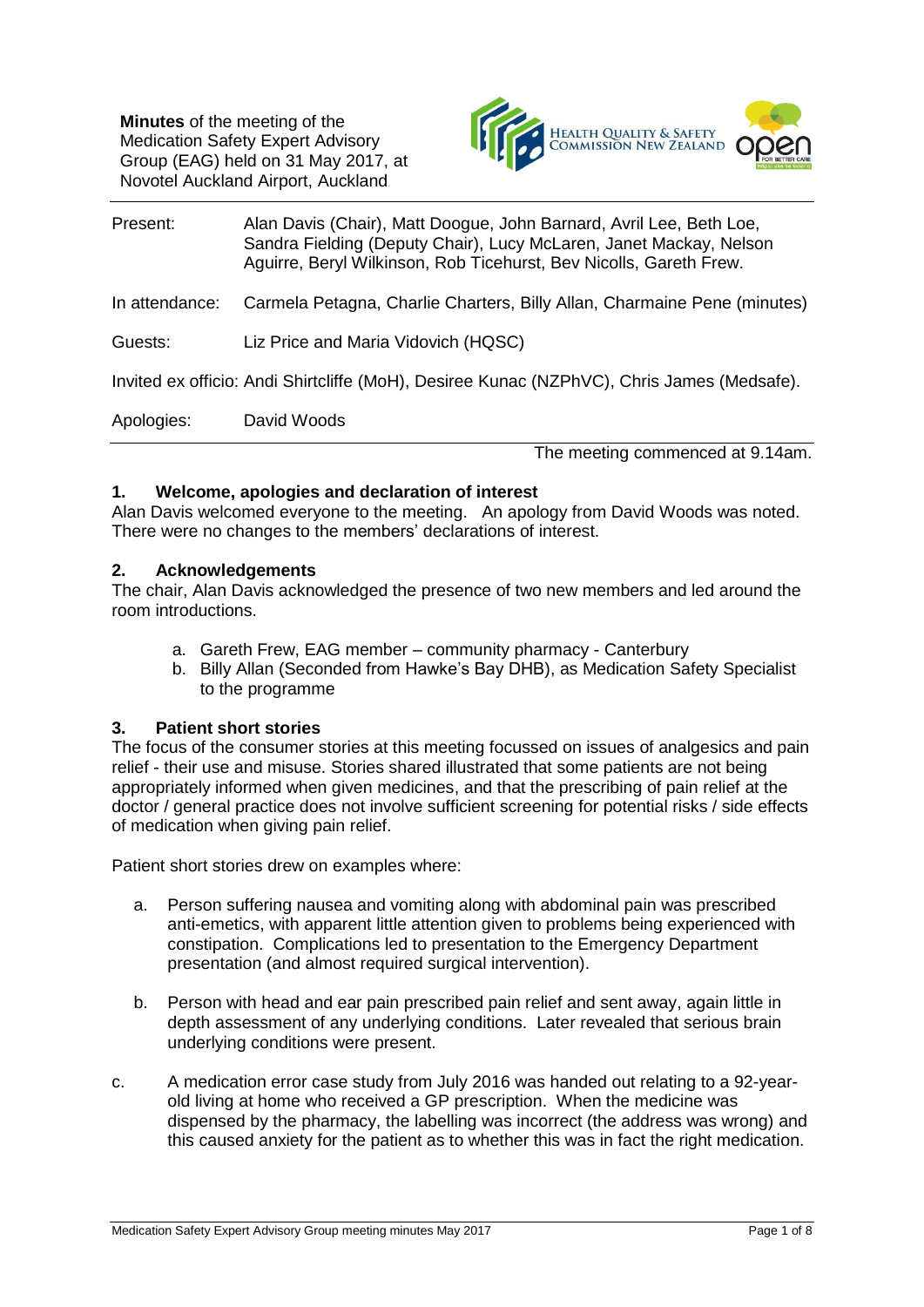**Minutes** of the meeting of the Medication Safety Expert Advisory Group (EAG) held on 31 May 2017, at Novotel Auckland Airport, Auckland



| Present:                                                                                   | Alan Davis (Chair), Matt Doogue, John Barnard, Avril Lee, Beth Loe,<br>Sandra Fielding (Deputy Chair), Lucy McLaren, Janet Mackay, Nelson<br>Aguirre, Beryl Wilkinson, Rob Ticehurst, Bev Nicolls, Gareth Frew. |  |  |
|--------------------------------------------------------------------------------------------|-----------------------------------------------------------------------------------------------------------------------------------------------------------------------------------------------------------------|--|--|
| In attendance:                                                                             | Carmela Petagna, Charlie Charters, Billy Allan, Charmaine Pene (minutes)                                                                                                                                        |  |  |
| Guests:                                                                                    | Liz Price and Maria Vidovich (HQSC)                                                                                                                                                                             |  |  |
| Invited ex officio: Andi Shirtcliffe (MoH), Desiree Kunac (NZPhVC), Chris James (Medsafe). |                                                                                                                                                                                                                 |  |  |
| Apologies:                                                                                 | David Woods                                                                                                                                                                                                     |  |  |
|                                                                                            | The meeting commenced at 9.14am.                                                                                                                                                                                |  |  |

#### **1. Welcome, apologies and declaration of interest**

Alan Davis welcomed everyone to the meeting. An apology from David Woods was noted. There were no changes to the members' declarations of interest.

#### **2. Acknowledgements**

The chair, Alan Davis acknowledged the presence of two new members and led around the room introductions.

- a. Gareth Frew, EAG member community pharmacy Canterbury
- b. Billy Allan (Seconded from Hawke's Bay DHB), as Medication Safety Specialist to the programme

#### **3. Patient short stories**

The focus of the consumer stories at this meeting focussed on issues of analgesics and pain relief - their use and misuse. Stories shared illustrated that some patients are not being appropriately informed when given medicines, and that the prescribing of pain relief at the doctor / general practice does not involve sufficient screening for potential risks / side effects of medication when giving pain relief.

Patient short stories drew on examples where:

- a. Person suffering nausea and vomiting along with abdominal pain was prescribed anti-emetics, with apparent little attention given to problems being experienced with constipation. Complications led to presentation to the Emergency Department presentation (and almost required surgical intervention).
- b. Person with head and ear pain prescribed pain relief and sent away, again little in depth assessment of any underlying conditions. Later revealed that serious brain underlying conditions were present.
- c. A medication error case study from July 2016 was handed out relating to a 92-yearold living at home who received a GP prescription. When the medicine was dispensed by the pharmacy, the labelling was incorrect (the address was wrong) and this caused anxiety for the patient as to whether this was in fact the right medication.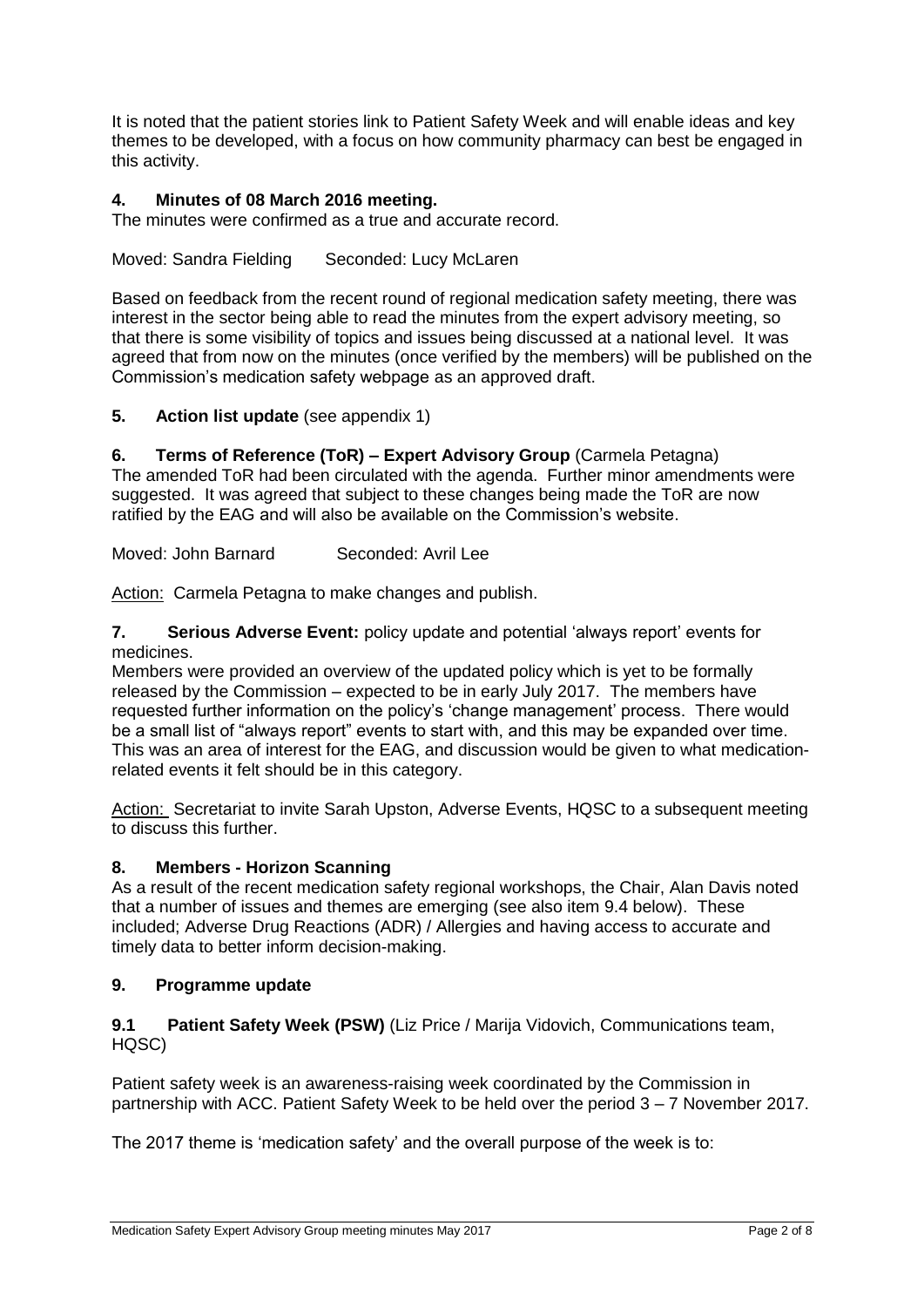It is noted that the patient stories link to Patient Safety Week and will enable ideas and key themes to be developed, with a focus on how community pharmacy can best be engaged in this activity.

# **4. Minutes of 08 March 2016 meeting.**

The minutes were confirmed as a true and accurate record.

Moved: Sandra Fielding Seconded: Lucy McLaren

Based on feedback from the recent round of regional medication safety meeting, there was interest in the sector being able to read the minutes from the expert advisory meeting, so that there is some visibility of topics and issues being discussed at a national level. It was agreed that from now on the minutes (once verified by the members) will be published on the Commission's medication safety webpage as an approved draft.

**5. Action list update** (see appendix 1)

**6. Terms of Reference (ToR) – Expert Advisory Group** (Carmela Petagna) The amended ToR had been circulated with the agenda. Further minor amendments were suggested. It was agreed that subject to these changes being made the ToR are now ratified by the EAG and will also be available on the Commission's website.

Moved: John Barnard Seconded: Avril Lee

Action: Carmela Petagna to make changes and publish.

**7. Serious Adverse Event:** policy update and potential 'always report' events for medicines.

Members were provided an overview of the updated policy which is yet to be formally released by the Commission – expected to be in early July 2017. The members have requested further information on the policy's 'change management' process. There would be a small list of "always report" events to start with, and this may be expanded over time. This was an area of interest for the EAG, and discussion would be given to what medicationrelated events it felt should be in this category.

Action: Secretariat to invite Sarah Upston, Adverse Events, HQSC to a subsequent meeting to discuss this further.

### **8. Members - Horizon Scanning**

As a result of the recent medication safety regional workshops, the Chair, Alan Davis noted that a number of issues and themes are emerging (see also item 9.4 below). These included; Adverse Drug Reactions (ADR) / Allergies and having access to accurate and timely data to better inform decision-making.

# **9. Programme update**

### **9.1 Patient Safety Week (PSW)** (Liz Price / Marija Vidovich, Communications team, HQSC)

Patient safety week is an awareness-raising week coordinated by the Commission in partnership with ACC. Patient Safety Week to be held over the period 3 – 7 November 2017.

The 2017 theme is 'medication safety' and the overall purpose of the week is to: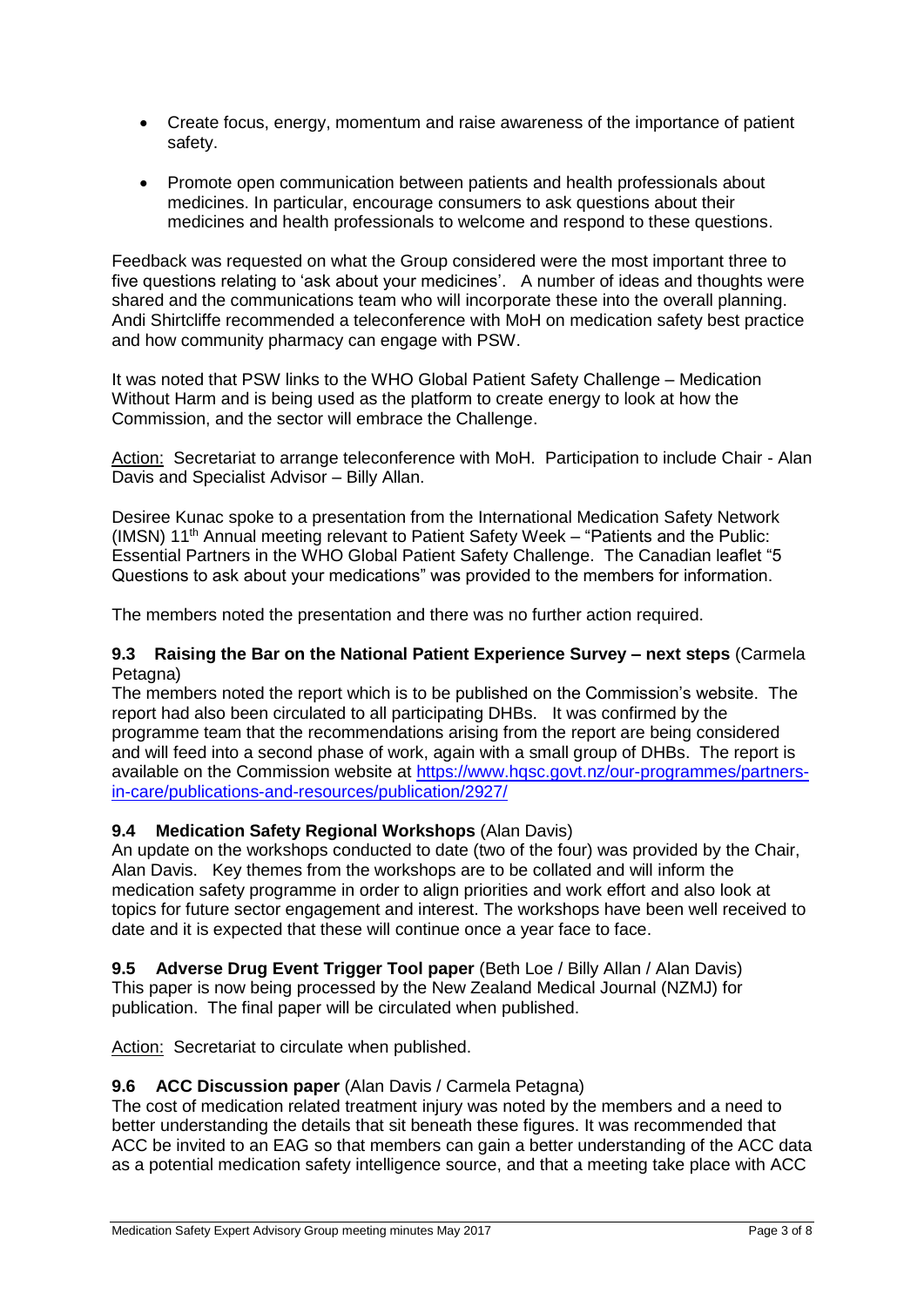- Create focus, energy, momentum and raise awareness of the importance of patient safety.
- Promote open communication between patients and health professionals about medicines. In particular, encourage consumers to ask questions about their medicines and health professionals to welcome and respond to these questions.

Feedback was requested on what the Group considered were the most important three to five questions relating to 'ask about your medicines'. A number of ideas and thoughts were shared and the communications team who will incorporate these into the overall planning. Andi Shirtcliffe recommended a teleconference with MoH on medication safety best practice and how community pharmacy can engage with PSW.

It was noted that PSW links to the WHO Global Patient Safety Challenge – Medication Without Harm and is being used as the platform to create energy to look at how the Commission, and the sector will embrace the Challenge.

Action: Secretariat to arrange teleconference with MoH. Participation to include Chair - Alan Davis and Specialist Advisor – Billy Allan.

Desiree Kunac spoke to a presentation from the International Medication Safety Network  $(1$ MSN) 11<sup>th</sup> Annual meeting relevant to Patient Safety Week – "Patients and the Public: Essential Partners in the WHO Global Patient Safety Challenge. The Canadian leaflet "5 Questions to ask about your medications" was provided to the members for information.

The members noted the presentation and there was no further action required.

#### **9.3 Raising the Bar on the National Patient Experience Survey – next steps** (Carmela Petagna)

The members noted the report which is to be published on the Commission's website. The report had also been circulated to all participating DHBs. It was confirmed by the programme team that the recommendations arising from the report are being considered and will feed into a second phase of work, again with a small group of DHBs. The report is available on the Commission website at [https://www.hqsc.govt.nz/our-programmes/partners](https://www.hqsc.govt.nz/our-programmes/partners-in-care/publications-and-resources/publication/2927/)[in-care/publications-and-resources/publication/2927/](https://www.hqsc.govt.nz/our-programmes/partners-in-care/publications-and-resources/publication/2927/)

### **9.4 Medication Safety Regional Workshops** (Alan Davis)

An update on the workshops conducted to date (two of the four) was provided by the Chair, Alan Davis. Key themes from the workshops are to be collated and will inform the medication safety programme in order to align priorities and work effort and also look at topics for future sector engagement and interest. The workshops have been well received to date and it is expected that these will continue once a year face to face.

**9.5 Adverse Drug Event Trigger Tool paper** (Beth Loe / Billy Allan / Alan Davis) This paper is now being processed by the New Zealand Medical Journal (NZMJ) for publication. The final paper will be circulated when published.

Action: Secretariat to circulate when published.

### **9.6 ACC Discussion paper** (Alan Davis / Carmela Petagna)

The cost of medication related treatment injury was noted by the members and a need to better understanding the details that sit beneath these figures. It was recommended that ACC be invited to an EAG so that members can gain a better understanding of the ACC data as a potential medication safety intelligence source, and that a meeting take place with ACC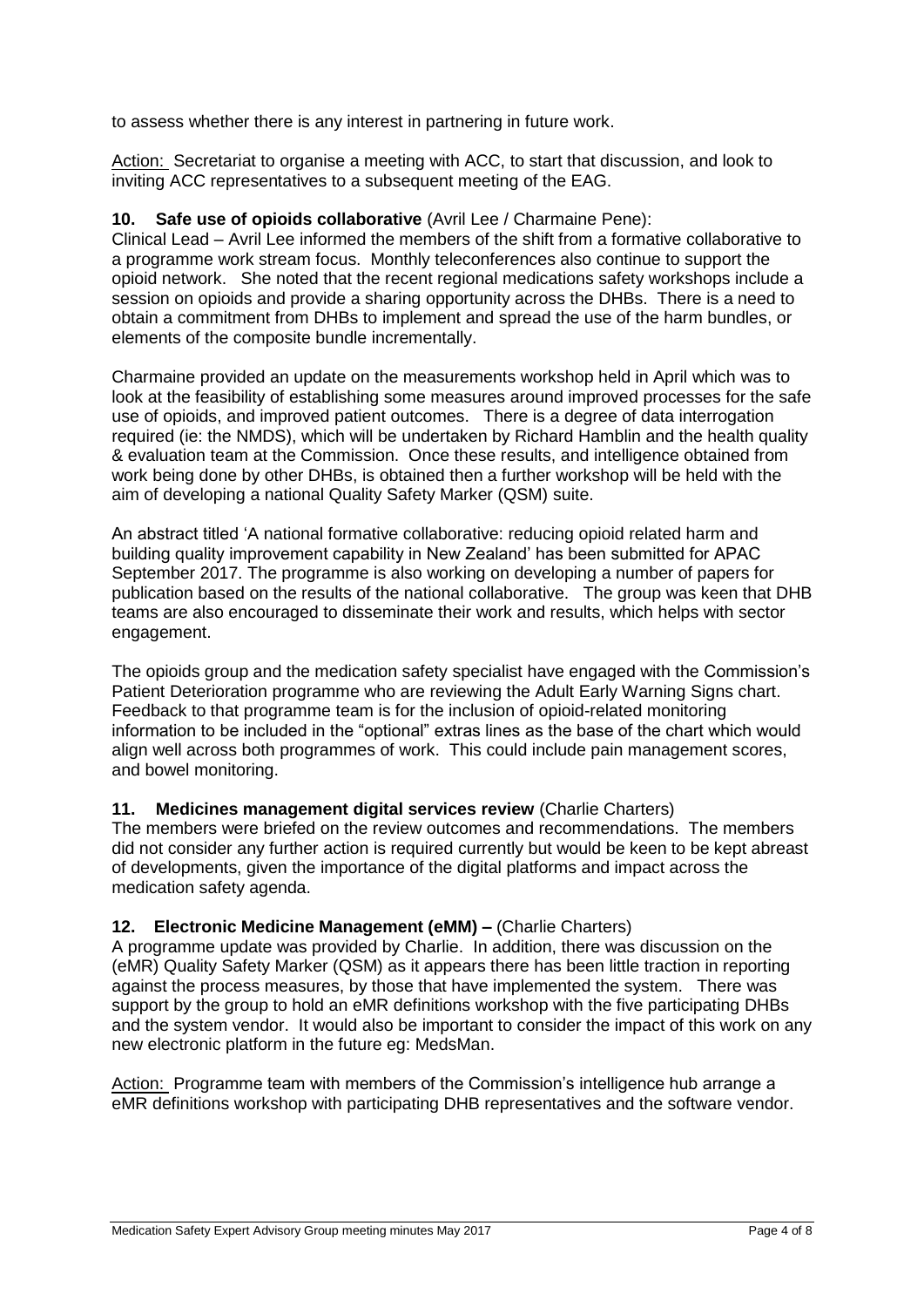to assess whether there is any interest in partnering in future work.

Action: Secretariat to organise a meeting with ACC, to start that discussion, and look to inviting ACC representatives to a subsequent meeting of the EAG.

### **10. Safe use of opioids collaborative** (Avril Lee / Charmaine Pene):

Clinical Lead – Avril Lee informed the members of the shift from a formative collaborative to a programme work stream focus. Monthly teleconferences also continue to support the opioid network. She noted that the recent regional medications safety workshops include a session on opioids and provide a sharing opportunity across the DHBs. There is a need to obtain a commitment from DHBs to implement and spread the use of the harm bundles, or elements of the composite bundle incrementally.

Charmaine provided an update on the measurements workshop held in April which was to look at the feasibility of establishing some measures around improved processes for the safe use of opioids, and improved patient outcomes. There is a degree of data interrogation required (ie: the NMDS), which will be undertaken by Richard Hamblin and the health quality & evaluation team at the Commission. Once these results, and intelligence obtained from work being done by other DHBs, is obtained then a further workshop will be held with the aim of developing a national Quality Safety Marker (QSM) suite.

An abstract titled 'A national formative collaborative: reducing opioid related harm and building quality improvement capability in New Zealand' has been submitted for APAC September 2017. The programme is also working on developing a number of papers for publication based on the results of the national collaborative. The group was keen that DHB teams are also encouraged to disseminate their work and results, which helps with sector engagement.

The opioids group and the medication safety specialist have engaged with the Commission's Patient Deterioration programme who are reviewing the Adult Early Warning Signs chart. Feedback to that programme team is for the inclusion of opioid-related monitoring information to be included in the "optional" extras lines as the base of the chart which would align well across both programmes of work. This could include pain management scores, and bowel monitoring.

### **11. Medicines management digital services review** (Charlie Charters)

The members were briefed on the review outcomes and recommendations. The members did not consider any further action is required currently but would be keen to be kept abreast of developments, given the importance of the digital platforms and impact across the medication safety agenda.

#### **12. Electronic Medicine Management (eMM) –** (Charlie Charters)

A programme update was provided by Charlie. In addition, there was discussion on the (eMR) Quality Safety Marker (QSM) as it appears there has been little traction in reporting against the process measures, by those that have implemented the system. There was support by the group to hold an eMR definitions workshop with the five participating DHBs and the system vendor. It would also be important to consider the impact of this work on any new electronic platform in the future eg: MedsMan.

Action: Programme team with members of the Commission's intelligence hub arrange a eMR definitions workshop with participating DHB representatives and the software vendor.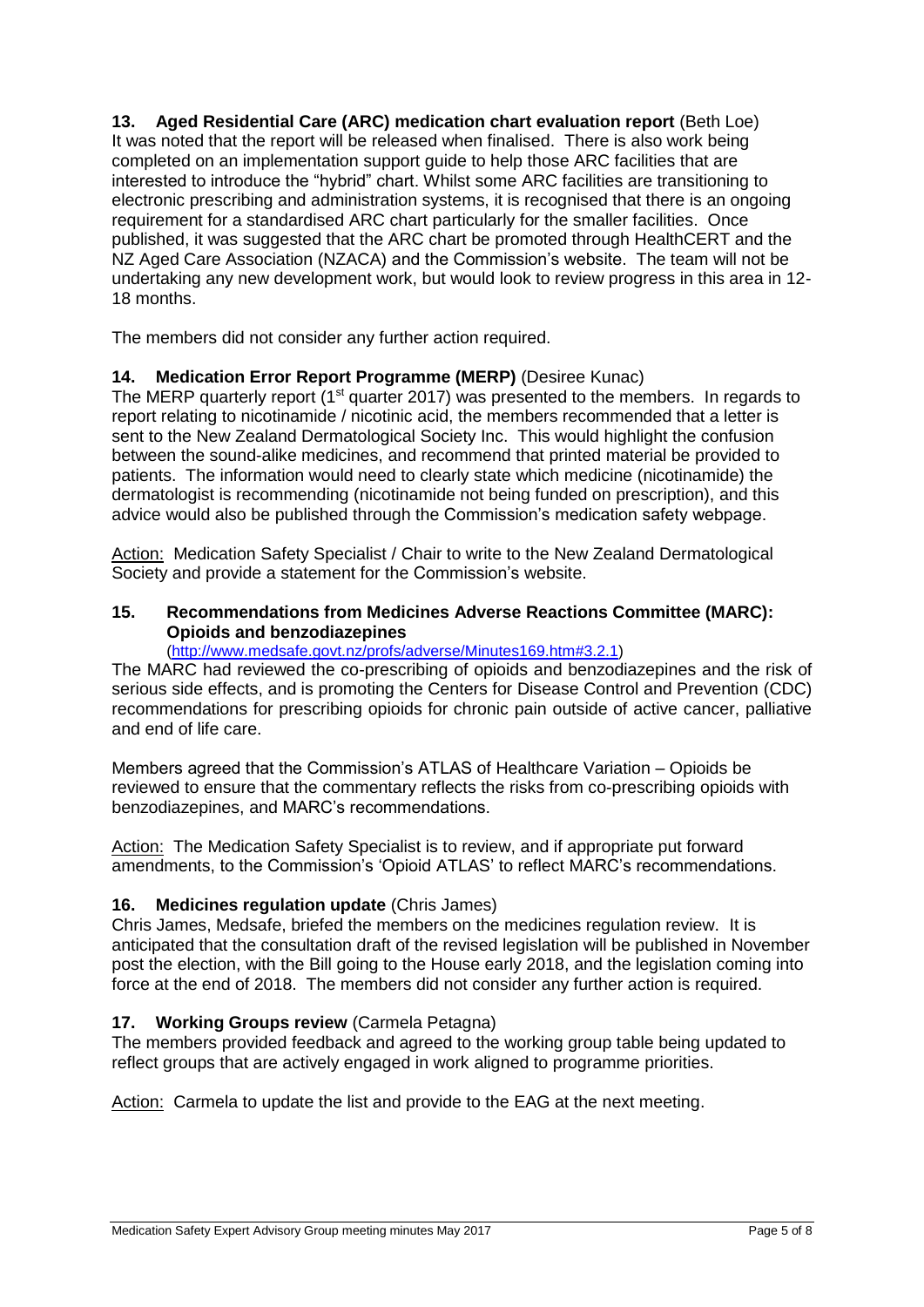**13. Aged Residential Care (ARC) medication chart evaluation report** (Beth Loe) It was noted that the report will be released when finalised. There is also work being completed on an implementation support guide to help those ARC facilities that are interested to introduce the "hybrid" chart. Whilst some ARC facilities are transitioning to electronic prescribing and administration systems, it is recognised that there is an ongoing requirement for a standardised ARC chart particularly for the smaller facilities. Once published, it was suggested that the ARC chart be promoted through HealthCERT and the NZ Aged Care Association (NZACA) and the Commission's website. The team will not be undertaking any new development work, but would look to review progress in this area in 12- 18 months.

The members did not consider any further action required.

# **14. Medication Error Report Programme (MERP)** (Desiree Kunac)

The MERP quarterly report (1<sup>st</sup> quarter 2017) was presented to the members. In regards to report relating to nicotinamide / nicotinic acid, the members recommended that a letter is sent to the New Zealand Dermatological Society Inc. This would highlight the confusion between the sound-alike medicines, and recommend that printed material be provided to patients. The information would need to clearly state which medicine (nicotinamide) the dermatologist is recommending (nicotinamide not being funded on prescription), and this advice would also be published through the Commission's medication safety webpage.

Action: Medication Safety Specialist / Chair to write to the New Zealand Dermatological Society and provide a statement for the Commission's website.

### **15. Recommendations from Medicines Adverse Reactions Committee (MARC): Opioids and benzodiazepines**

#### [\(http://www.medsafe.govt.nz/profs/adverse/Minutes169.htm#3.2.1\)](http://www.medsafe.govt.nz/profs/adverse/Minutes169.htm#3.2.1)

The MARC had reviewed the co-prescribing of opioids and benzodiazepines and the risk of serious side effects, and is promoting the Centers for Disease Control and Prevention (CDC) recommendations for prescribing opioids for chronic pain outside of active cancer, palliative and end of life care.

Members agreed that the Commission's ATLAS of Healthcare Variation – Opioids be reviewed to ensure that the commentary reflects the risks from co-prescribing opioids with benzodiazepines, and MARC's recommendations.

Action: The Medication Safety Specialist is to review, and if appropriate put forward amendments, to the Commission's 'Opioid ATLAS' to reflect MARC's recommendations.

### **16. Medicines regulation update** (Chris James)

Chris James, Medsafe, briefed the members on the medicines regulation review. It is anticipated that the consultation draft of the revised legislation will be published in November post the election, with the Bill going to the House early 2018, and the legislation coming into force at the end of 2018. The members did not consider any further action is required.

# **17. Working Groups review** (Carmela Petagna)

The members provided feedback and agreed to the working group table being updated to reflect groups that are actively engaged in work aligned to programme priorities.

Action: Carmela to update the list and provide to the EAG at the next meeting.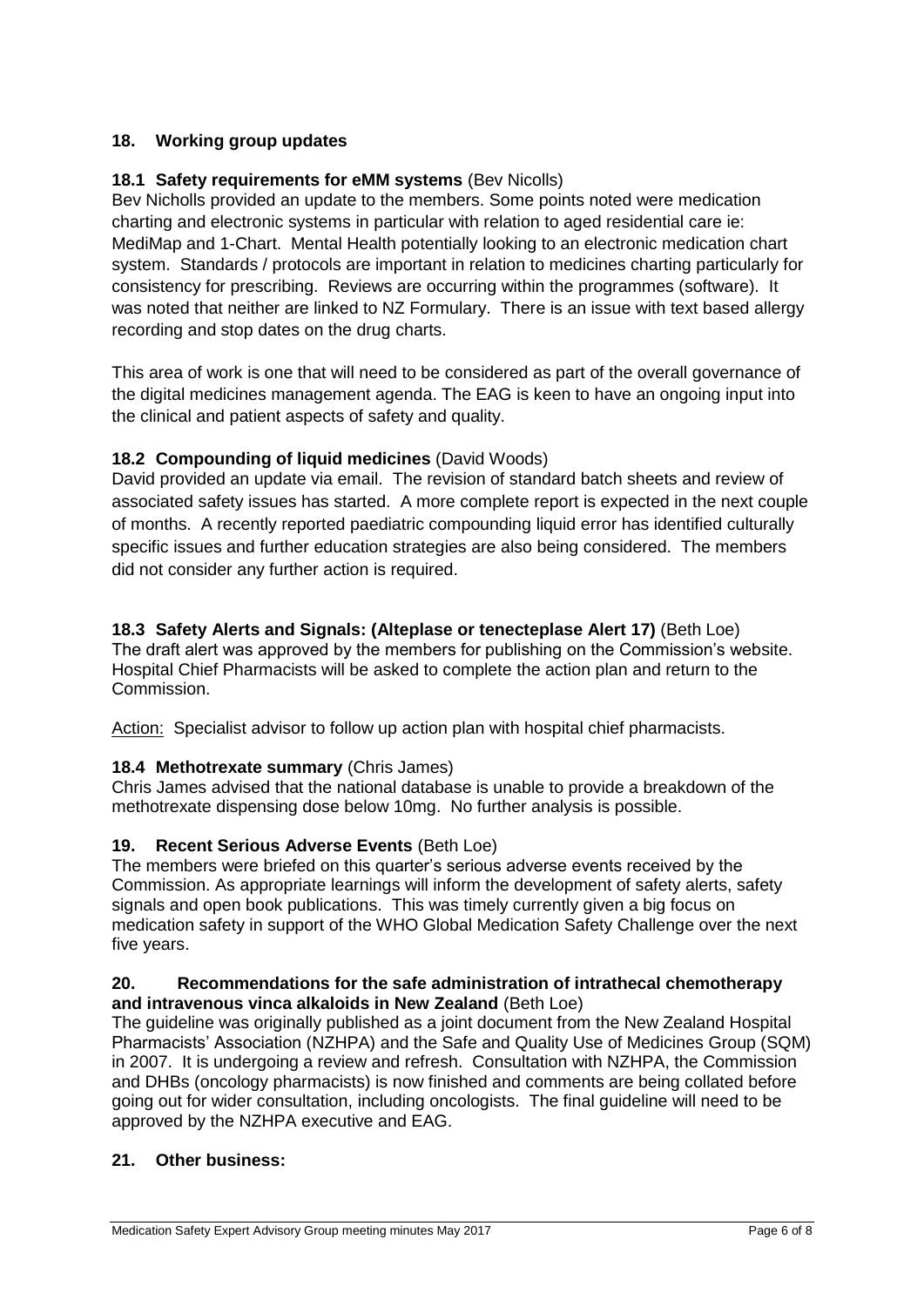# **18. Working group updates**

# **18.1 Safety requirements for eMM systems** (Bev Nicolls)

Bev Nicholls provided an update to the members. Some points noted were medication charting and electronic systems in particular with relation to aged residential care ie: MediMap and 1-Chart. Mental Health potentially looking to an electronic medication chart system. Standards / protocols are important in relation to medicines charting particularly for consistency for prescribing. Reviews are occurring within the programmes (software). It was noted that neither are linked to NZ Formulary. There is an issue with text based allergy recording and stop dates on the drug charts.

This area of work is one that will need to be considered as part of the overall governance of the digital medicines management agenda. The EAG is keen to have an ongoing input into the clinical and patient aspects of safety and quality.

## **18.2 Compounding of liquid medicines** (David Woods)

David provided an update via email. The revision of standard batch sheets and review of associated safety issues has started. A more complete report is expected in the next couple of months. A recently reported paediatric compounding liquid error has identified culturally specific issues and further education strategies are also being considered. The members did not consider any further action is required.

**18.3 Safety Alerts and Signals: (Alteplase or tenecteplase Alert 17)** (Beth Loe) The draft alert was approved by the members for publishing on the Commission's website. Hospital Chief Pharmacists will be asked to complete the action plan and return to the Commission.

Action: Specialist advisor to follow up action plan with hospital chief pharmacists.

### **18.4 Methotrexate summary** (Chris James)

Chris James advised that the national database is unable to provide a breakdown of the methotrexate dispensing dose below 10mg. No further analysis is possible.

### **19. Recent Serious Adverse Events** (Beth Loe)

The members were briefed on this quarter's serious adverse events received by the Commission. As appropriate learnings will inform the development of safety alerts, safety signals and open book publications. This was timely currently given a big focus on medication safety in support of the WHO Global Medication Safety Challenge over the next five years.

#### **20. Recommendations for the safe administration of intrathecal chemotherapy and intravenous vinca alkaloids in New Zealand** (Beth Loe)

The guideline was originally published as a joint document from the New Zealand Hospital Pharmacists' Association (NZHPA) and the Safe and Quality Use of Medicines Group (SQM) in 2007. It is undergoing a review and refresh. Consultation with NZHPA, the Commission and DHBs (oncology pharmacists) is now finished and comments are being collated before going out for wider consultation, including oncologists. The final guideline will need to be approved by the NZHPA executive and EAG.

### **21. Other business:**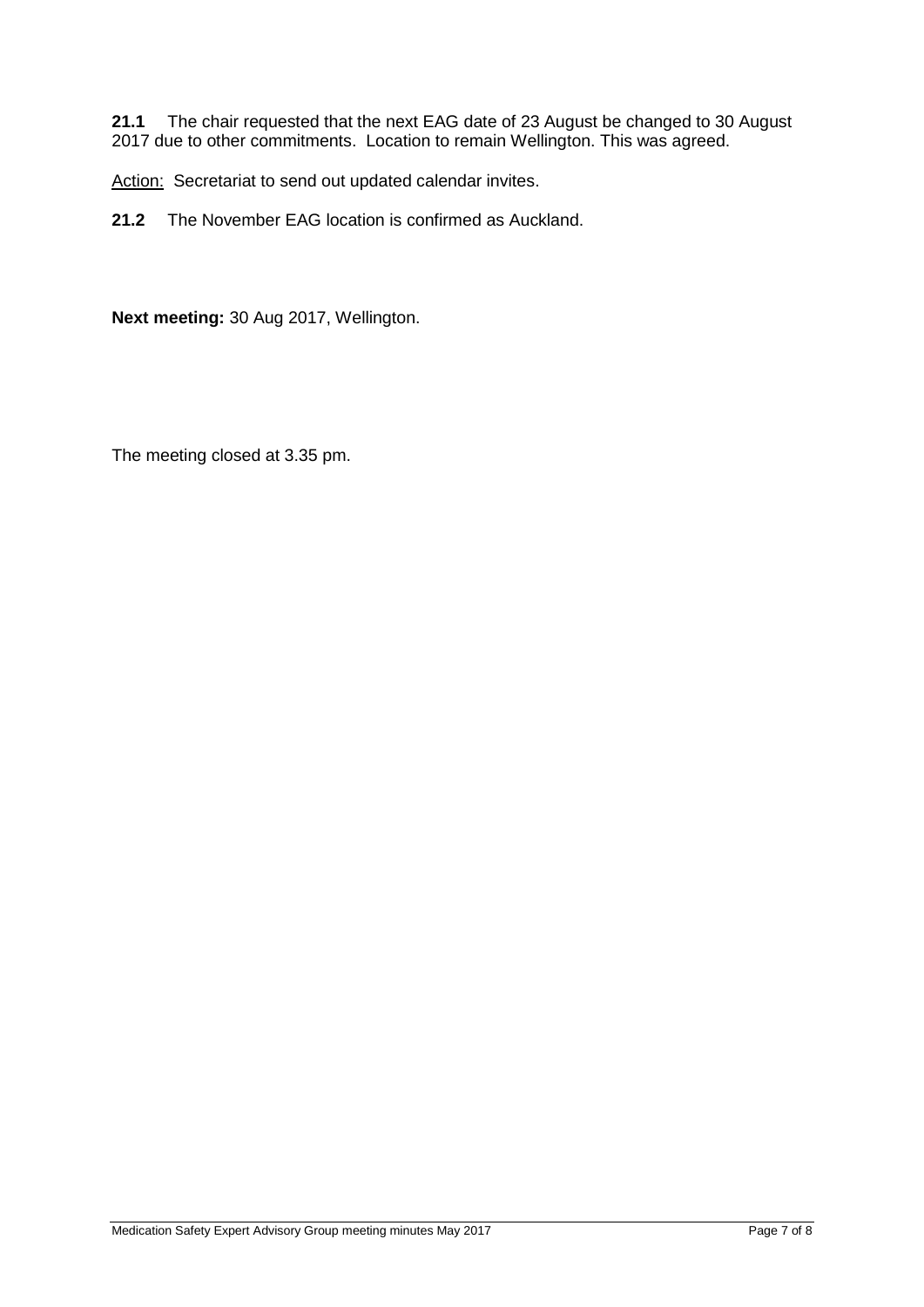**21.1** The chair requested that the next EAG date of 23 August be changed to 30 August 2017 due to other commitments. Location to remain Wellington. This was agreed.

Action: Secretariat to send out updated calendar invites.

**21.2** The November EAG location is confirmed as Auckland.

**Next meeting:** 30 Aug 2017, Wellington.

The meeting closed at 3.35 pm.